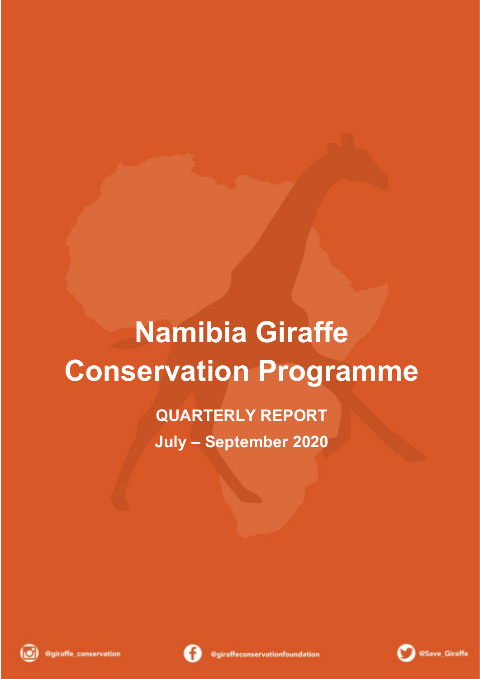# **Namibia Giraffe Conservation Programme**

**QUARTERLY REPORT July – September 2020**





$$
\mathbf{O}^{\text{osave}}
$$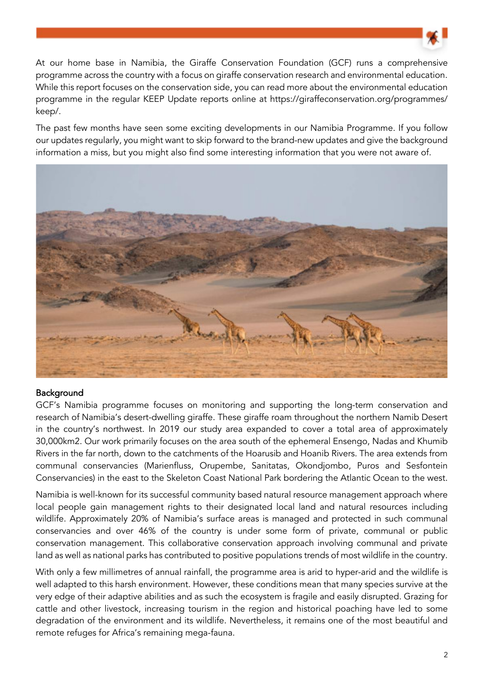

At our home base in Namibia, the Giraffe Conservation Foundation (GCF) runs a comprehensive programme across the country with a focus on giraffe conservation research and environmental education. While this report focuses on the conservation side, you can read more about the environmental education programme in the regular KEEP Update reports online at https://giraffeconservation.org/programmes/ keep/.

The past few months have seen some exciting developments in our Namibia Programme. If you follow our updates regularly, you might want to skip forward to the brand-new updates and give the background information a miss, but you might also find some interesting information that you were not aware of.



### Background

GCF's Namibia programme focuses on monitoring and supporting the long-term conservation and research of Namibia's desert-dwelling giraffe. These giraffe roam throughout the northern Namib Desert in the country's northwest. In 2019 our study area expanded to cover a total area of approximately 30,000km2. Our work primarily focuses on the area south of the ephemeral Ensengo, Nadas and Khumib Rivers in the far north, down to the catchments of the Hoarusib and Hoanib Rivers. The area extends from communal conservancies (Marienfluss, Orupembe, Sanitatas, Okondjombo, Puros and Sesfontein Conservancies) in the east to the Skeleton Coast National Park bordering the Atlantic Ocean to the west.

Namibia is well-known for its successful community based natural resource management approach where local people gain management rights to their designated local land and natural resources including wildlife. Approximately 20% of Namibia's surface areas is managed and protected in such communal conservancies and over 46% of the country is under some form of private, communal or public conservation management. This collaborative conservation approach involving communal and private land as well as national parks has contributed to positive populations trends of most wildlife in the country.

With only a few millimetres of annual rainfall, the programme area is arid to hyper-arid and the wildlife is well adapted to this harsh environment. However, these conditions mean that many species survive at the very edge of their adaptive abilities and as such the ecosystem is fragile and easily disrupted. Grazing for cattle and other livestock, increasing tourism in the region and historical poaching have led to some degradation of the environment and its wildlife. Nevertheless, it remains one of the most beautiful and remote refuges for Africa's remaining mega-fauna.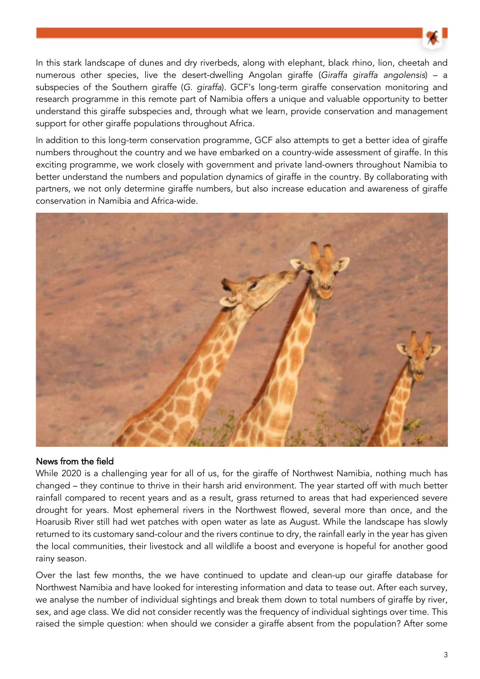

In this stark landscape of dunes and dry riverbeds, along with elephant, black rhino, lion, cheetah and numerous other species, live the desert-dwelling Angolan giraffe (Giraffa giraffa angolensis) – a subspecies of the Southern giraffe (G. giraffa). GCF's long-term giraffe conservation monitoring and research programme in this remote part of Namibia offers a unique and valuable opportunity to better understand this giraffe subspecies and, through what we learn, provide conservation and management support for other giraffe populations throughout Africa.

In addition to this long-term conservation programme, GCF also attempts to get a better idea of giraffe numbers throughout the country and we have embarked on a country-wide assessment of giraffe. In this exciting programme, we work closely with government and private land-owners throughout Namibia to better understand the numbers and population dynamics of giraffe in the country. By collaborating with partners, we not only determine giraffe numbers, but also increase education and awareness of giraffe conservation in Namibia and Africa-wide.



# News from the field

While 2020 is a challenging year for all of us, for the giraffe of Northwest Namibia, nothing much has changed – they continue to thrive in their harsh arid environment. The year started off with much better rainfall compared to recent years and as a result, grass returned to areas that had experienced severe drought for years. Most ephemeral rivers in the Northwest flowed, several more than once, and the Hoarusib River still had wet patches with open water as late as August. While the landscape has slowly returned to its customary sand-colour and the rivers continue to dry, the rainfall early in the year has given the local communities, their livestock and all wildlife a boost and everyone is hopeful for another good rainy season.

Over the last few months, the we have continued to update and clean-up our giraffe database for Northwest Namibia and have looked for interesting information and data to tease out. After each survey, we analyse the number of individual sightings and break them down to total numbers of giraffe by river, sex, and age class. We did not consider recently was the frequency of individual sightings over time. This raised the simple question: when should we consider a giraffe absent from the population? After some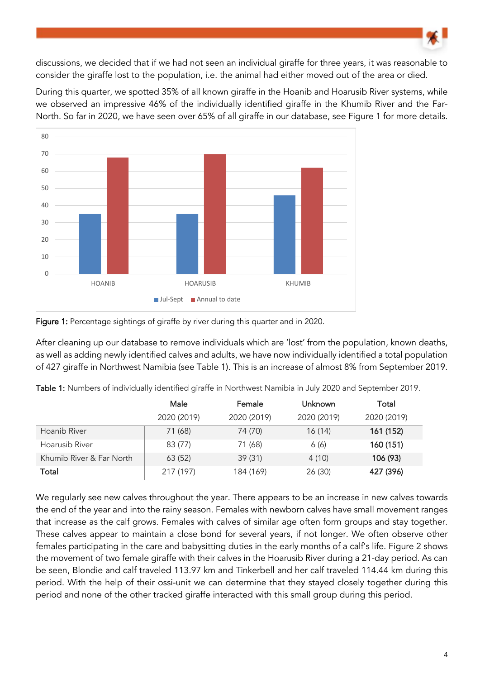

discussions, we decided that if we had not seen an individual giraffe for three years, it was reasonable to consider the giraffe lost to the population, i.e. the animal had either moved out of the area or died.

During this quarter, we spotted 35% of all known giraffe in the Hoanib and Hoarusib River systems, while we observed an impressive 46% of the individually identified giraffe in the Khumib River and the Far-North. So far in 2020, we have seen over 65% of all giraffe in our database, see Figure 1 for more details.





After cleaning up our database to remove individuals which are 'lost' from the population, known deaths, as well as adding newly identified calves and adults, we have now individually identified a total population of 427 giraffe in Northwest Namibia (see Table 1). This is an increase of almost 8% from September 2019.

|                          | Male        | Female      | Unknown     | Total       |
|--------------------------|-------------|-------------|-------------|-------------|
|                          | 2020 (2019) | 2020 (2019) | 2020 (2019) | 2020 (2019) |
| Hoanib River             | 71 (68)     | 74 (70)     | 16(14)      | 161 (152)   |
| Hoarusib River           | 83 (77)     | 71 (68)     | 6(6)        | 160 (151)   |
| Khumib River & Far North | 63(52)      | 39(31)      | 4(10)       | 106 (93)    |
| Total                    | 217 (197)   | 184 (169)   | 26(30)      | 427 (396)   |

Table 1: Numbers of individually identified giraffe in Northwest Namibia in July 2020 and September 2019.

We regularly see new calves throughout the year. There appears to be an increase in new calves towards the end of the year and into the rainy season. Females with newborn calves have small movement ranges that increase as the calf grows. Females with calves of similar age often form groups and stay together. These calves appear to maintain a close bond for several years, if not longer. We often observe other females participating in the care and babysitting duties in the early months of a calf's life. Figure 2 shows the movement of two female giraffe with their calves in the Hoarusib River during a 21-day period. As can be seen, Blondie and calf traveled 113.97 km and Tinkerbell and her calf traveled 114.44 km during this period. With the help of their ossi-unit we can determine that they stayed closely together during this period and none of the other tracked giraffe interacted with this small group during this period.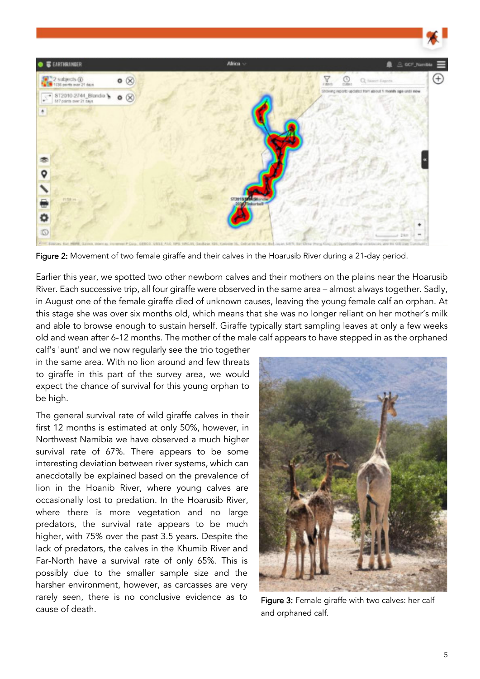

Figure 2: Movement of two female giraffe and their calves in the Hoarusib River during a 21-day period.

Earlier this year, we spotted two other newborn calves and their mothers on the plains near the Hoarusib River. Each successive trip, all four giraffe were observed in the same area – almost always together. Sadly, in August one of the female giraffe died of unknown causes, leaving the young female calf an orphan. At this stage she was over six months old, which means that she was no longer reliant on her mother's milk and able to browse enough to sustain herself. Giraffe typically start sampling leaves at only a few weeks old and wean after 6-12 months. The mother of the male calf appears to have stepped in as the orphaned

calf's 'aunt' and we now regularly see the trio together in the same area. With no lion around and few threats to giraffe in this part of the survey area, we would expect the chance of survival for this young orphan to be high.

The general survival rate of wild giraffe calves in their first 12 months is estimated at only 50%, however, in Northwest Namibia we have observed a much higher survival rate of 67%. There appears to be some interesting deviation between river systems, which can anecdotally be explained based on the prevalence of lion in the Hoanib River, where young calves are occasionally lost to predation. In the Hoarusib River, where there is more vegetation and no large predators, the survival rate appears to be much higher, with 75% over the past 3.5 years. Despite the lack of predators, the calves in the Khumib River and Far-North have a survival rate of only 65%. This is possibly due to the smaller sample size and the harsher environment, however, as carcasses are very rarely seen, there is no conclusive evidence as to cause of death.



Figure 3: Female giraffe with two calves: her calf and orphaned calf.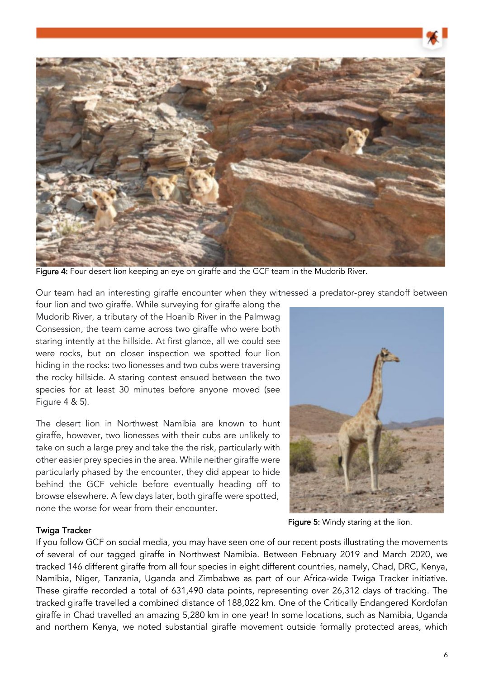

Figure 4: Four desert lion keeping an eye on giraffe and the GCF team in the Mudorib River.

Our team had an interesting giraffe encounter when they witnessed a predator-prey standoff between

four lion and two giraffe. While surveying for giraffe along the Mudorib River, a tributary of the Hoanib River in the Palmwag Consession, the team came across two giraffe who were both staring intently at the hillside. At first glance, all we could see were rocks, but on closer inspection we spotted four lion hiding in the rocks: two lionesses and two cubs were traversing the rocky hillside. A staring contest ensued between the two species for at least 30 minutes before anyone moved (see Figure 4 & 5).

The desert lion in Northwest Namibia are known to hunt giraffe, however, two lionesses with their cubs are unlikely to take on such a large prey and take the the risk, particularly with other easier prey species in the area. While neither giraffe were particularly phased by the encounter, they did appear to hide behind the GCF vehicle before eventually heading off to browse elsewhere. A few days later, both giraffe were spotted, none the worse for wear from their encounter.

#### Figure 5: Windy staring at the lion.

#### Twiga Tracker

If you follow GCF on social media, you may have seen one of our recent posts illustrating the movements of several of our tagged giraffe in Northwest Namibia. Between February 2019 and March 2020, we tracked 146 different giraffe from all four species in eight different countries, namely, Chad, DRC, Kenya, Namibia, Niger, Tanzania, Uganda and Zimbabwe as part of our Africa-wide Twiga Tracker initiative. These giraffe recorded a total of 631,490 data points, representing over 26,312 days of tracking. The tracked giraffe travelled a combined distance of 188,022 km. One of the Critically Endangered Kordofan giraffe in Chad travelled an amazing 5,280 km in one year! In some locations, such as Namibia, Uganda and northern Kenya, we noted substantial giraffe movement outside formally protected areas, which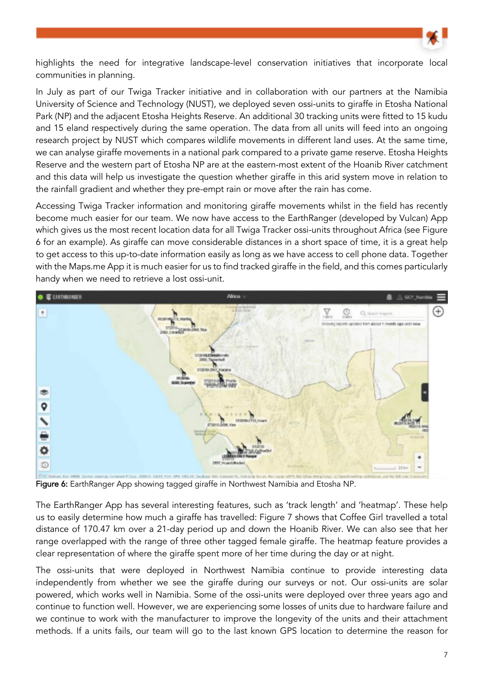

highlights the need for integrative landscape-level conservation initiatives that incorporate local communities in planning.

In July as part of our Twiga Tracker initiative and in collaboration with our partners at the Namibia University of Science and Technology (NUST), we deployed seven ossi-units to giraffe in Etosha National Park (NP) and the adjacent Etosha Heights Reserve. An additional 30 tracking units were fitted to 15 kudu and 15 eland respectively during the same operation. The data from all units will feed into an ongoing research project by NUST which compares wildlife movements in different land uses. At the same time, we can analyse giraffe movements in a national park compared to a private game reserve. Etosha Heights Reserve and the western part of Etosha NP are at the eastern-most extent of the Hoanib River catchment and this data will help us investigate the question whether giraffe in this arid system move in relation to the rainfall gradient and whether they pre-empt rain or move after the rain has come.

Accessing Twiga Tracker information and monitoring giraffe movements whilst in the field has recently become much easier for our team. We now have access to the EarthRanger (developed by Vulcan) App which gives us the most recent location data for all Twiga Tracker ossi-units throughout Africa (see Figure 6 for an example). As giraffe can move considerable distances in a short space of time, it is a great help to get access to this up-to-date information easily as long as we have access to cell phone data. Together with the Maps.me App it is much easier for us to find tracked giraffe in the field, and this comes particularly handy when we need to retrieve a lost ossi-unit.



Figure 6: EarthRanger App showing tagged giraffe in Northwest Namibia and Etosha NP.

The EarthRanger App has several interesting features, such as 'track length' and 'heatmap'. These help us to easily determine how much a giraffe has travelled: Figure 7 shows that Coffee Girl travelled a total distance of 170.47 km over a 21-day period up and down the Hoanib River. We can also see that her range overlapped with the range of three other tagged female giraffe. The heatmap feature provides a clear representation of where the giraffe spent more of her time during the day or at night.

The ossi-units that were deployed in Northwest Namibia continue to provide interesting data independently from whether we see the giraffe during our surveys or not. Our ossi-units are solar powered, which works well in Namibia. Some of the ossi-units were deployed over three years ago and continue to function well. However, we are experiencing some losses of units due to hardware failure and we continue to work with the manufacturer to improve the longevity of the units and their attachment methods. If a units fails, our team will go to the last known GPS location to determine the reason for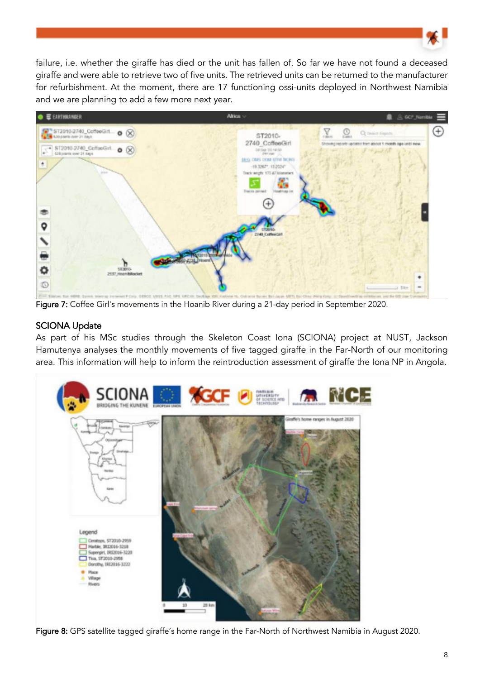

failure, i.e. whether the giraffe has died or the unit has fallen of. So far we have not found a deceased giraffe and were able to retrieve two of five units. The retrieved units can be returned to the manufacturer for refurbishment. At the moment, there are 17 functioning ossi-units deployed in Northwest Namibia and we are planning to add a few more next year.



Figure 7: Coffee Girl's movements in the Hoanib River during a 21-day period in September 2020.

# SCIONA Update

As part of his MSc studies through the Skeleton Coast Iona (SCIONA) project at NUST, Jackson Hamutenya analyses the monthly movements of five tagged giraffe in the Far-North of our monitoring area. This information will help to inform the reintroduction assessment of giraffe the Iona NP in Angola.



Figure 8: GPS satellite tagged giraffe's home range in the Far-North of Northwest Namibia in August 2020.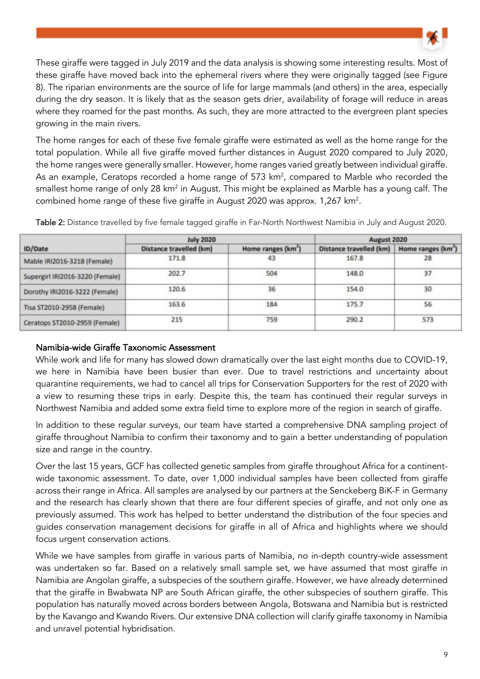

These giraffe were tagged in July 2019 and the data analysis is showing some interesting results. Most of these giraffe have moved back into the ephemeral rivers where they were originally tagged (see Figure 8). The riparian environments are the source of life for large mammals (and others) in the area, especially during the dry season. It is likely that as the season gets drier, availability of forage will reduce in areas where they roamed for the past months. As such, they are more attracted to the evergreen plant species growing in the main rivers.

The home ranges for each of these five female giraffe were estimated as well as the home range for the total population. While all five giraffe moved further distances in August 2020 compared to July 2020, the home ranges were generally smaller. However, home ranges varied greatly between individual giraffe. As an example, Ceratops recorded a home range of 573  $km<sup>2</sup>$ , compared to Marble who recorded the smallest home range of only 28 km<sup>2</sup> in August. This might be explained as Marble has a young calf. The combined home range of these five giraffe in August 2020 was approx. 1,267 km<sup>2</sup>.

| ID/Date                         | <b>July 2020</b>        |                                | August 2020             |                                |
|---------------------------------|-------------------------|--------------------------------|-------------------------|--------------------------------|
|                                 | Distance travelled (km) | Home ranges (km <sup>2</sup> ) | Distance travelled (km) | Home ranges (km <sup>2</sup> ) |
| Mable IRI2016-3218 (Female)     | 171.8                   | 43                             | 167.8                   | 28                             |
| Supergirl IRI2016-3220 (Female) | 202.7                   | 504                            | 148.0                   | 37                             |
| Dorothy IRI2016-3222 (Female)   | 120.6                   | 36                             | 154.0                   | 30                             |
| Tisa ST2010-2958 (Female)       | 163.6                   | 184                            | 175.7                   | 56                             |
| Ceratops ST2010-2959 (Female)   | 215                     | 759                            | 290.2                   | 573                            |

Table 2: Distance travelled by five female tagged giraffe in Far-North Northwest Namibia in July and August 2020.

# Namibia-wide Giraffe Taxonomic Assessment

While work and life for many has slowed down dramatically over the last eight months due to COVID-19, we here in Namibia have been busier than ever. Due to travel restrictions and uncertainty about quarantine requirements, we had to cancel all trips for Conservation Supporters for the rest of 2020 with a view to resuming these trips in early. Despite this, the team has continued their regular surveys in Northwest Namibia and added some extra field time to explore more of the region in search of giraffe.

In addition to these regular surveys, our team have started a comprehensive DNA sampling project of giraffe throughout Namibia to confirm their taxonomy and to gain a better understanding of population size and range in the country.

Over the last 15 years, GCF has collected genetic samples from giraffe throughout Africa for a continentwide taxonomic assessment. To date, over 1,000 individual samples have been collected from giraffe across their range in Africa. All samples are analysed by our partners at the Senckeberg BiK-F in Germany and the research has clearly shown that there are four different species of giraffe, and not only one as previously assumed. This work has helped to better understand the distribution of the four species and guides conservation management decisions for giraffe in all of Africa and highlights where we should focus urgent conservation actions.

While we have samples from giraffe in various parts of Namibia, no in-depth country-wide assessment was undertaken so far. Based on a relatively small sample set, we have assumed that most giraffe in Namibia are Angolan giraffe, a subspecies of the southern giraffe. However, we have already determined that the giraffe in Bwabwata NP are South African giraffe, the other subspecies of southern giraffe. This population has naturally moved across borders between Angola, Botswana and Namibia but is restricted by the Kavango and Kwando Rivers. Our extensive DNA collection will clarify giraffe taxonomy in Namibia and unravel potential hybridisation.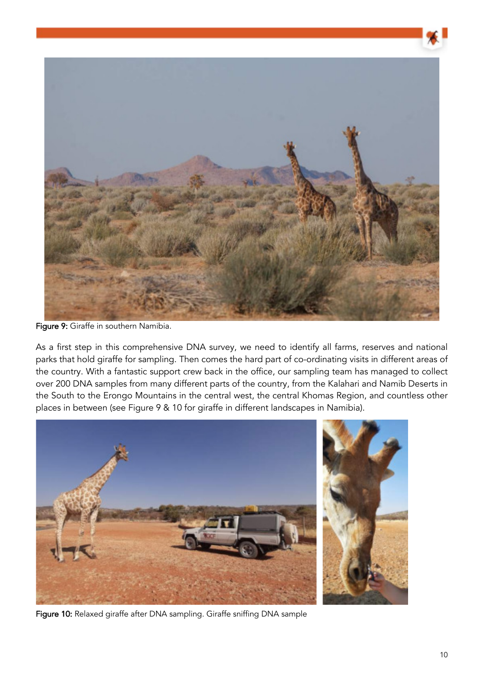

Figure 9: Giraffe in southern Namibia.

As a first step in this comprehensive DNA survey, we need to identify all farms, reserves and national parks that hold giraffe for sampling. Then comes the hard part of co-ordinating visits in different areas of the country. With a fantastic support crew back in the office, our sampling team has managed to collect over 200 DNA samples from many different parts of the country, from the Kalahari and Namib Deserts in the South to the Erongo Mountains in the central west, the central Khomas Region, and countless other places in between (see Figure 9 & 10 for giraffe in different landscapes in Namibia).



Figure 10: Relaxed giraffe after DNA sampling. Giraffe sniffing DNA sample